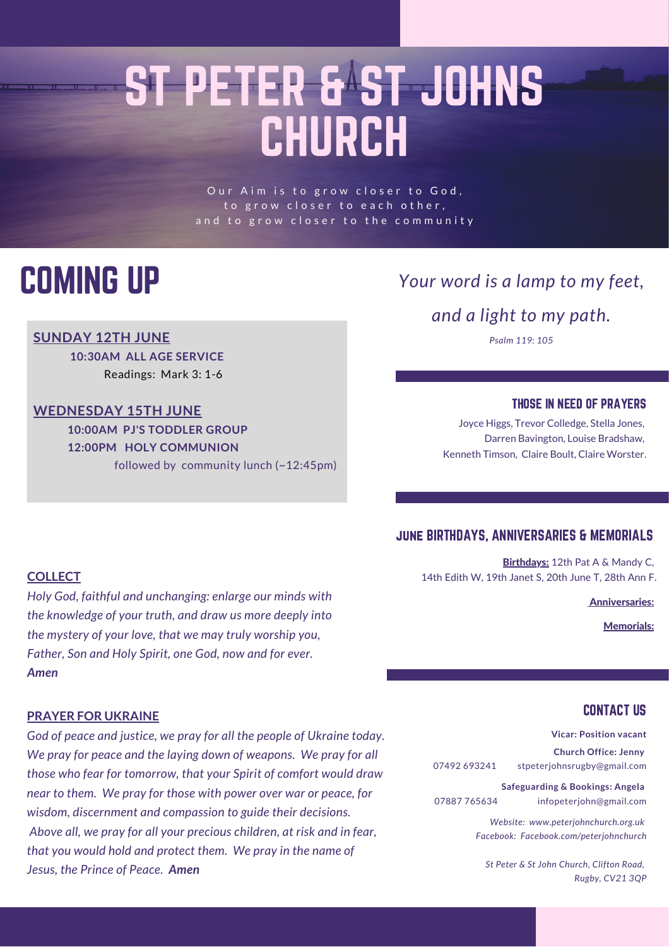# ST PETER & ST JOHNS CHURCH

Our Aim is to grow closer to God, to grow closer to each other, and to grow closer to the community

### COMING UP

#### **SUNDAY 12TH JUNE**

**10:30AM ALL AGE SERVICE** Readings: Mark 3: 1-6

#### **WEDNESDAY 15TH JUNE**

**10:00AM PJ'S TODDLER GROUP 12:00PM HOLY COMMUNION** followed by community lunch (~12:45pm)

#### *Your word is a lamp to my feet,*

*and a light to my path.*

*Psalm 119: 105*

#### THOSE IN NEED OF PRAYERS

Joyce Higgs, Trevor Colledge, Stella Jones, Darren Bavington, Louise Bradshaw, Kenneth Timson, Claire Boult, Claire Worster.

#### june BIRTHDAYS, ANNIVERSARIES & MEMORIALS

Birthdays: 12th Pat A & Mandy C, 14th Edith W, 19th Janet S, 20th June T, 28th Ann F.

Anniversaries:

Memorials:

#### **COLLECT**

*Holy God, faithful and unchanging: enlarge our minds with the knowledge of your truth, and draw us more deeply into the mystery of your love, that we may truly worship you, Father, Son and Holy Spirit, one God, now and for ever. Amen*

#### **PRAYER FOR UKRAINE**

*God of peace and justice, we pray for all the people of Ukraine today. We pray for peace and the laying down of weapons. We pray for all those who fear for tomorrow, that your Spirit of comfort would draw near to them. We pray for those with power over war or peace, for wisdom, discernment and compassion to guide their decisions. Above all, we pray for all your precious children, at risk and in fear, that you would hold and protect them. We pray in the name of Jesus, the Prince of Peace. Amen*

#### CONTACT US

**Vicar: Position vacant**

**Church Office: Jenny** 07492 693241 stpeterjohnsrugby@gmail.com

**Safeguarding & Bookings: Angela** 07887 765634 infopeterjohn@gmail.com

> *Website: www.peterjohnchurch.org.uk Facebook: Facebook.com/peterjohnchurch*

*St Peter & St John Church, Clifton Road, Rugby, CV21 3QP*